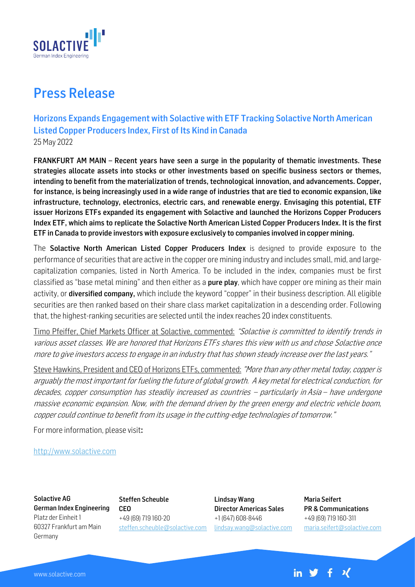

## Press Release

Horizons Expands Engagement with Solactive with ETF Tracking Solactive North American Listed Copper Producers Index, First of Its Kind in Canada 25 May 2022

FRANKFURT AM MAIN – Recent years have seen a surge in the popularity of thematic investments. These strategies allocate assets into stocks or other investments based on specific business sectors or themes, intending to benefit from the materialization of trends, technological innovation, and advancements. Copper, for instance, is being increasingly used in a wide range of industries that are tied to economic expansion, like infrastructure, technology, electronics, electric cars, and renewable energy. Envisaging this potential, ETF issuer Horizons ETFs expanded its engagement with Solactive and launched the Horizons Copper Producers Index ETF, which aims to replicate the Solactive North American Listed Copper Producers Index. It is the first ETF in Canada to provide investors with exposure exclusively to companies involved in copper mining.

The Solactive North American Listed Copper Producers Index is designed to provide exposure to the performance of securities that are active in the copper ore mining industry and includes small, mid, and largecapitalization companies, listed in North America. To be included in the index, companies must be first classified as "base metal mining" and then either as a pure play, which have copper ore mining as their main activity, or **diversified company,** which include the keyword "copper" in their business description. All eligible securities are then ranked based on their share class market capitalization in a descending order. Following that, the highest-ranking securities are selected until the index reaches 20 index constituents.

Timo Pfeiffer, Chief Markets Officer at Solactive, commented: "Solactive is committed to identify trends in various asset classes. We are honored that Horizons ETFs shares this view with us and chose Solactive once more to give investors access to engage in an industry that has shown steady increase over the last years."

Steve Hawkins, President and CEO of Horizons ETFs, commented: "More than any other metal today, copper is arguably the most important for fueling the future of global growth. A key metal for electrical conduction, for decades, copper consumption has steadily increased as countries – particularly in Asia – have undergone massive economic expansion. Now, with the demand driven by the green energy and electric vehicle boom, copper could continue to benefit from its usage in the cutting-edge technologies of tomorrow."

For more information, please visit:

[http://www.solactive.com](http://www.solactive.com/)

Solactive AG German Index Engineering Platz der Einheit 1 60327 Frankfurt am Main Germany

Steffen Scheuble CEO +49 (69) 719 160-20 [steffen.scheuble@solactive.com](mailto:steffen.scheuble@solactive.com)

Lindsay Wang Director Americas Sales +1 (647) 608-8446 [lindsay.wang@solactive.com](mailto:lindsay.wang@solactive.com)

Maria Seifert PR & Communications +49 (69) 719 160-311 maria.seifert@solactive.com

in  $\mathcal{Y}$  f  $\mathcal{X}$